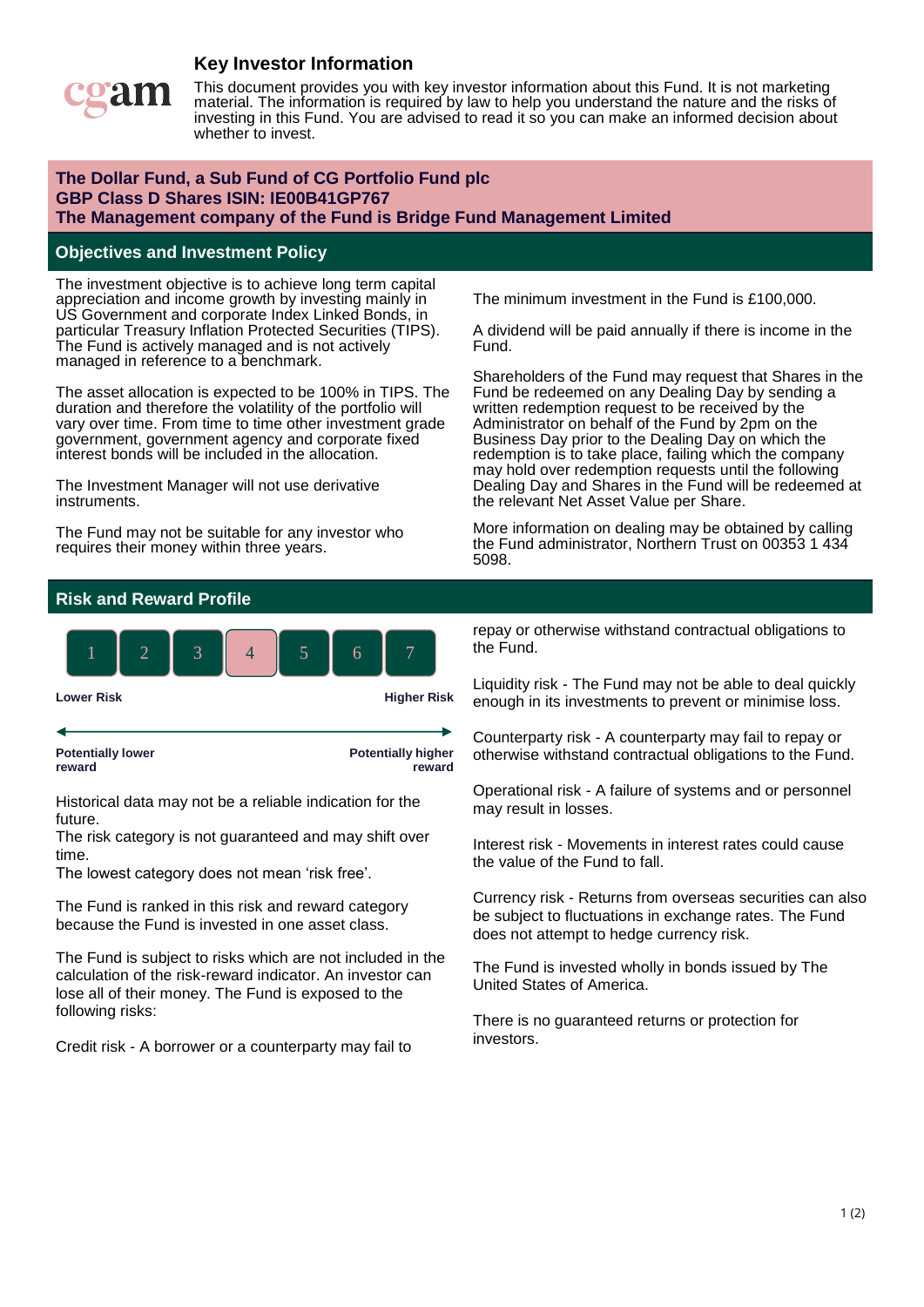# **Key Investor Information**



This document provides you with key investor information about this Fund. It is not marketing material. The information is required by law to help you understand the nature and the risks of investing in this Fund. You are advised to read it so you can make an informed decision about whether to invest.

### **The Dollar Fund, a Sub Fund of CG Portfolio Fund plc GBP Class D Shares ISIN: IE00B41GP767 The Management company of the Fund is Bridge Fund Management Limited**

#### **Objectives and Investment Policy**

The investment objective is to achieve long term capital appreciation and income growth by investing mainly in US Government and corporate Index Linked Bonds, in particular Treasury Inflation Protected Securities (TIPS). The Fund is actively managed and is not actively managed in reference to a benchmark.

The asset allocation is expected to be 100% in TIPS. The duration and therefore the volatility of the portfolio will vary over time. From time to time other investment grade government, government agency and corporate fixed interest bonds will be included in the allocation.

The Investment Manager will not use derivative instruments.

The Fund may not be suitable for any investor who requires their money within three years.

The minimum investment in the Fund is £100,000.

A dividend will be paid annually if there is income in the Fund.

Shareholders of the Fund may request that Shares in the Fund be redeemed on any Dealing Day by sending a written redemption request to be received by the Administrator on behalf of the Fund by 2pm on the Business Day prior to the Dealing Day on which the redemption is to take place, failing which the company may hold over redemption requests until the following Dealing Day and Shares in the Fund will be redeemed at the relevant Net Asset Value per Share.

More information on dealing may be obtained by calling the Fund administrator, Northern Trust on 00353 1 434 5098.

#### **Risk and Reward Profile**



Historical data may not be a reliable indication for the future.

The risk category is not guaranteed and may shift over time.

The lowest category does not mean 'risk free'.

The Fund is ranked in this risk and reward category because the Fund is invested in one asset class.

The Fund is subject to risks which are not included in the calculation of the risk-reward indicator. An investor can lose all of their money. The Fund is exposed to the following risks:

Credit risk - A borrower or a counterparty may fail to

repay or otherwise withstand contractual obligations to the Fund.

Liquidity risk - The Fund may not be able to deal quickly enough in its investments to prevent or minimise loss.

Counterparty risk - A counterparty may fail to repay or otherwise withstand contractual obligations to the Fund.

Operational risk - A failure of systems and or personnel may result in losses.

Interest risk - Movements in interest rates could cause the value of the Fund to fall.

Currency risk - Returns from overseas securities can also be subject to fluctuations in exchange rates. The Fund does not attempt to hedge currency risk.

The Fund is invested wholly in bonds issued by The United States of America.

There is no guaranteed returns or protection for investors.